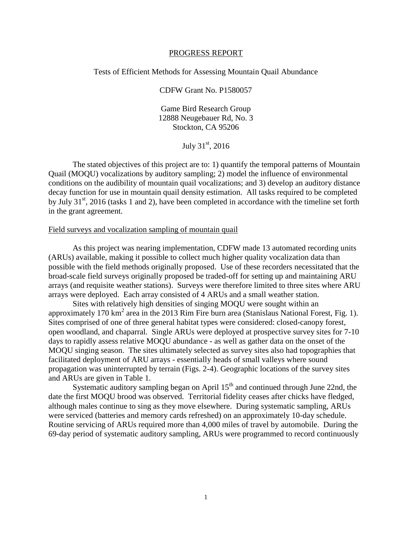## PROGRESS REPORT

## Tests of Efficient Methods for Assessing Mountain Quail Abundance

CDFW Grant No. P1580057

Game Bird Research Group 12888 Neugebauer Rd, No. 3 Stockton, CA 95206

July  $31^{st}$ , 2016

The stated objectives of this project are to: 1) quantify the temporal patterns of Mountain Quail (MOQU) vocalizations by auditory sampling; 2) model the influence of environmental conditions on the audibility of mountain quail vocalizations; and 3) develop an auditory distance decay function for use in mountain quail density estimation. All tasks required to be completed by July  $31<sup>st</sup>$ , 2016 (tasks 1 and 2), have been completed in accordance with the timeline set forth in the grant agreement.

## Field surveys and vocalization sampling of mountain quail

As this project was nearing implementation, CDFW made 13 automated recording units (ARUs) available, making it possible to collect much higher quality vocalization data than possible with the field methods originally proposed. Use of these recorders necessitated that the broad-scale field surveys originally proposed be traded-off for setting up and maintaining ARU arrays (and requisite weather stations). Surveys were therefore limited to three sites where ARU arrays were deployed. Each array consisted of 4 ARUs and a small weather station.

Sites with relatively high densities of singing MOQU were sought within an approximately 170 km<sup>2</sup> area in the 2013 Rim Fire burn area (Stanislaus National Forest, Fig. 1). Sites comprised of one of three general habitat types were considered: closed-canopy forest, open woodland, and chaparral. Single ARUs were deployed at prospective survey sites for 7-10 days to rapidly assess relative MOQU abundance - as well as gather data on the onset of the MOQU singing season. The sites ultimately selected as survey sites also had topographies that facilitated deployment of ARU arrays - essentially heads of small valleys where sound propagation was uninterrupted by terrain (Figs. 2-4). Geographic locations of the survey sites and ARUs are given in Table 1.

Systematic auditory sampling began on April  $15<sup>th</sup>$  and continued through June 22nd, the date the first MOQU brood was observed. Territorial fidelity ceases after chicks have fledged, although males continue to sing as they move elsewhere. During systematic sampling, ARUs were serviced (batteries and memory cards refreshed) on an approximately 10-day schedule. Routine servicing of ARUs required more than 4,000 miles of travel by automobile. During the 69-day period of systematic auditory sampling, ARUs were programmed to record continuously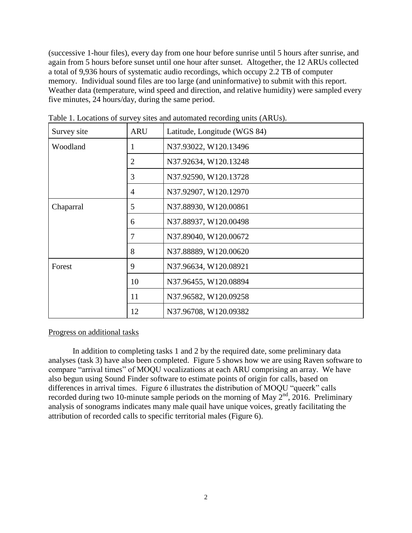(successive 1-hour files), every day from one hour before sunrise until 5 hours after sunrise, and again from 5 hours before sunset until one hour after sunset. Altogether, the 12 ARUs collected a total of 9,936 hours of systematic audio recordings, which occupy 2.2 TB of computer memory. Individual sound files are too large (and uninformative) to submit with this report. Weather data (temperature, wind speed and direction, and relative humidity) were sampled every five minutes, 24 hours/day, during the same period.

| Survey site | <b>ARU</b>     | Latitude, Longitude (WGS 84) |
|-------------|----------------|------------------------------|
| Woodland    | 1              | N37.93022, W120.13496        |
|             | $\overline{2}$ | N37.92634, W120.13248        |
|             | 3              | N37.92590, W120.13728        |
|             | 4              | N37.92907, W120.12970        |
| Chaparral   | 5              | N37.88930, W120.00861        |
|             | 6              | N37.88937, W120.00498        |
|             | 7              | N37.89040, W120.00672        |
|             | 8              | N37.88889, W120.00620        |
| Forest      | 9              | N37.96634, W120.08921        |
|             | 10             | N37.96455, W120.08894        |
|             | 11             | N37.96582, W120.09258        |
|             | 12             | N37.96708, W120.09382        |

Table 1. Locations of survey sites and automated recording units (ARUs).

## Progress on additional tasks

In addition to completing tasks 1 and 2 by the required date, some preliminary data analyses (task 3) have also been completed. Figure 5 shows how we are using Raven software to compare "arrival times" of MOQU vocalizations at each ARU comprising an array. We have also begun using Sound Finder software to estimate points of origin for calls, based on differences in arrival times. Figure 6 illustrates the distribution of MOQU "queerk" calls recorded during two 10-minute sample periods on the morning of May  $2<sup>nd</sup>$ , 2016. Preliminary analysis of sonograms indicates many male quail have unique voices, greatly facilitating the attribution of recorded calls to specific territorial males (Figure 6).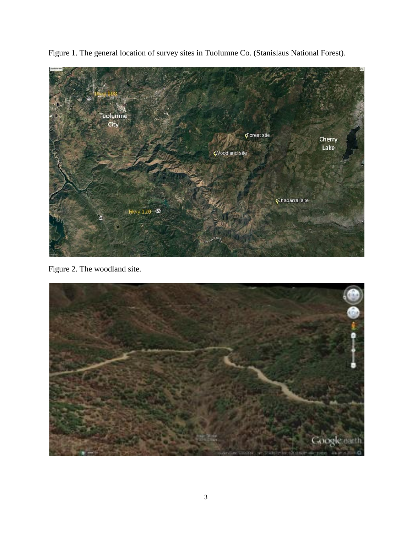

Figure 1. The general location of survey sites in Tuolumne Co. (Stanislaus National Forest).

Figure 2. The woodland site.

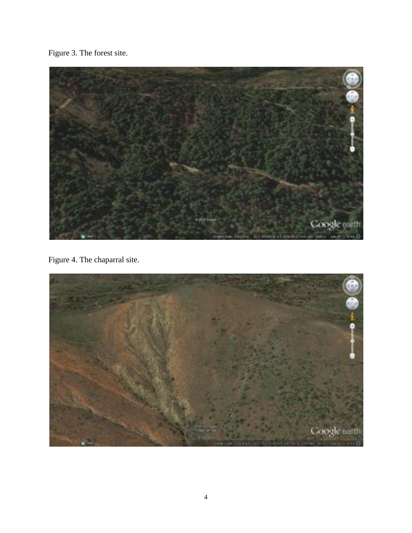Figure 3. The forest site.



Figure 4. The chaparral site.

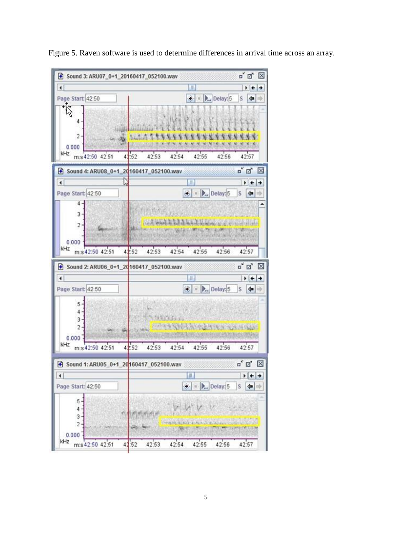

Figure 5. Raven software is used to determine differences in arrival time across an array.